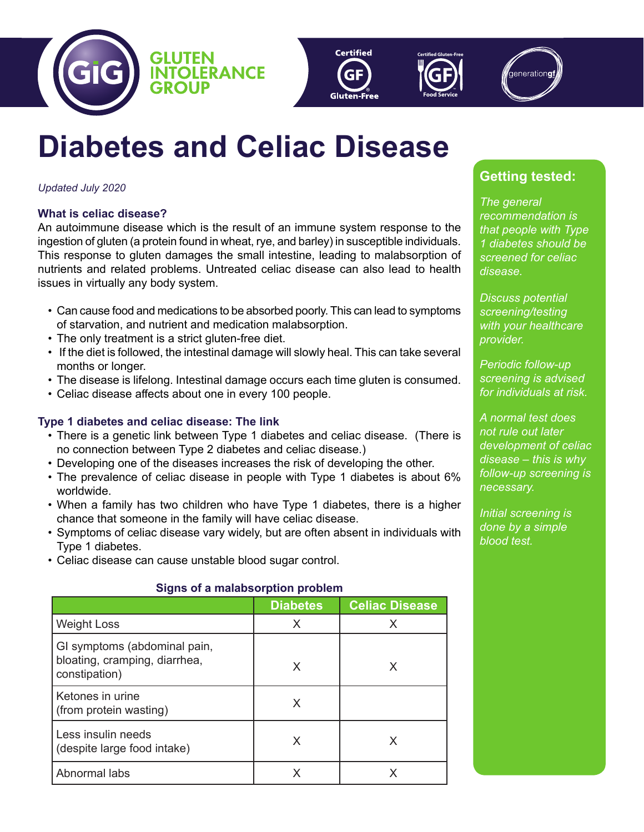





# **Diabetes and Celiac Disease**

## *Updated July 2020*

## **What is celiac disease?**

An autoimmune disease which is the result of an immune system response to the ingestion of gluten (a protein found in wheat, rye, and barley) in susceptible individuals. This response to gluten damages the small intestine, leading to malabsorption of nutrients and related problems. Untreated celiac disease can also lead to health issues in virtually any body system.

- Can cause food and medications to be absorbed poorly. This can lead to symptoms of starvation, and nutrient and medication malabsorption.
- The only treatment is a strict gluten-free diet.
- If the diet is followed, the intestinal damage will slowly heal. This can take several months or longer.
- The disease is lifelong. Intestinal damage occurs each time gluten is consumed.
- Celiac disease affects about one in every 100 people.

## **Type 1 diabetes and celiac disease: The link**

- There is a genetic link between Type 1 diabetes and celiac disease. (There is no connection between Type 2 diabetes and celiac disease.)
- Developing one of the diseases increases the risk of developing the other.
- The prevalence of celiac disease in people with Type 1 diabetes is about 6% worldwide.
- When a family has two children who have Type 1 diabetes, there is a higher chance that someone in the family will have celiac disease.
- Symptoms of celiac disease vary widely, but are often absent in individuals with Type 1 diabetes.
- Celiac disease can cause unstable blood sugar control.

## **Signs of a malabsorption problem**

|                                                                                | <b>Diabetes</b> | <b>Celiac Disease</b> |
|--------------------------------------------------------------------------------|-----------------|-----------------------|
| <b>Weight Loss</b>                                                             | X               | X                     |
| GI symptoms (abdominal pain,<br>bloating, cramping, diarrhea,<br>constipation) | X               | X                     |
| Ketones in urine<br>(from protein wasting)                                     | X               |                       |
| Less insulin needs<br>(despite large food intake)                              | X               | X                     |
| Abnormal labs                                                                  |                 |                       |

## **Getting tested:**

*The general recommendation is that people with Type 1 diabetes should be screened for celiac disease.*

*Discuss potential screening/testing with your healthcare provider.*

*Periodic follow-up screening is advised for individuals at risk.*

*A normal test does not rule out later development of celiac disease – this is why follow-up screening is necessary.*

*Initial screening is done by a simple blood test.*